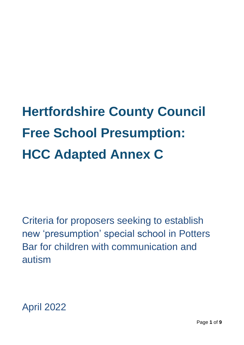# **Hertfordshire County Council Free School Presumption: HCC Adapted Annex C**

Criteria for proposers seeking to establish new 'presumption' special school in Potters Bar for children with communication and autism

April 2022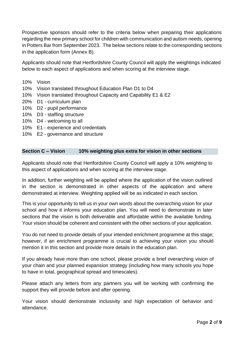Prospective sponsors should refer to the criteria below when preparing their applications regarding the new primary school for children with communication and autism needs, opening in Potters Bar from September 2023. The below sections relate to the corresponding sections in the application form (Annex B).

Applicants should note that Hertfordshire County Council will apply the weightings indicated below to each aspect of applications and when scoring at the interview stage.

- 10% Vision
- 10% Vision translated throughout Education Plan D1 to D4
- 10% Vision translated throughout Capacity and Capability E1 & E2
- 20% D1 curriculum plan
- 10% D2 pupil performance
- 10% D3 staffing structure
- 10% D4 welcoming to all
- 10% E1 experience and credentials
- 10% E2 governance and structure

## **Section C – Vision 10% weighting plus extra for vision in other sections**

Applicants should note that Hertfordshire County Council will apply a 10% weighting to this aspect of applications and when scoring at the interview stage.

In addition, further weighting will be applied where the application of the vision outlined in the section is demonstrated in other aspects of the application and where demonstrated at interview. Weighting applied will be as indicated in each section.

This is your opportunity to tell us in your own words about the overarching vision for your school and how it informs your education plan. You will need to demonstrate in later sections that the vision is both deliverable and affordable within the available funding. Your vision should be coherent and consistent with the other sections of your application.

You do not need to provide details of your intended enrichment programme at this stage; however, if an enrichment programme is crucial to achieving your vision you should mention it in this section and provide more details in the education plan.

If you already have more than one school, please provide a brief overarching vision of your chain and your planned expansion strategy (including how many schools you hope to have in total, geographical spread and timescales).

Please attach any letters from any partners you will be working with confirming the support they will provide before and after opening.

Your vision should demonstrate inclusivity and high expectation of behavior and attendance.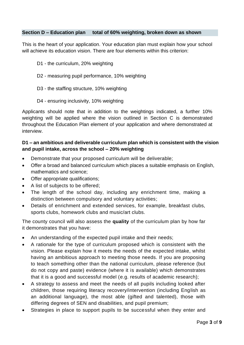#### **Section D – Education plan total of 60% weighting, broken down as shown**

This is the heart of your application. Your education plan must explain how your school will achieve its education vision. There are four elements within this criterion:

- D1 the curriculum, 20% weighting
- D2 measuring pupil performance, 10% weighting
- D3 the staffing structure, 10% weighting
- D4 ensuring inclusivity, 10% weighting

Applicants should note that in addition to the weightings indicated, a further 10% weighting will be applied where the vision outlined in Section C is demonstrated throughout the Education Plan element of your application and where demonstrated at interview.

## **D1 – an ambitious and deliverable curriculum plan which is consistent with the vision and pupil intake, across the school – 20% weighting**

- Demonstrate that your proposed curriculum will be deliverable;
- Offer a broad and balanced curriculum which places a suitable emphasis on English, mathematics and science;
- Offer appropriate qualifications:
- A list of subjects to be offered;
- The length of the school day, including any enrichment time, making a distinction between compulsory and voluntary activities;
- Details of enrichment and extended services, for example, breakfast clubs, sports clubs, homework clubs and music/art clubs.

The county council will also assess the **quality** of the curriculum plan by how far it demonstrates that you have:

- An understanding of the expected pupil intake and their needs;
- A rationale for the type of curriculum proposed which is consistent with the vision. Please explain how it meets the needs of the expected intake, whilst having an ambitious approach to meeting those needs. If you are proposing to teach something other than the national curriculum, please reference (but do not copy and paste) evidence (where it is available) which demonstrates that it is a good and successful model (e.g. results of academic research);
- A strategy to assess and meet the needs of all pupils including looked after children, those requiring literacy recovery/intervention (including English as an additional language), the most able (gifted and talented), those with differing degrees of SEN and disabilities, and pupil premium;
- Strategies in place to support pupils to be successful when they enter and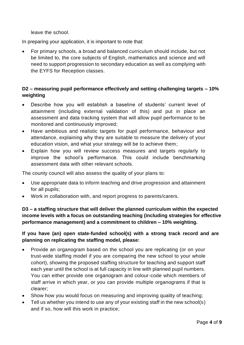leave the school.

In preparing your application, it is important to note that:

• For primary schools, a broad and balanced curriculum should include, but not be limited to, the core subjects of English, mathematics and science and will need to support progression to secondary education as well as complying with the EYFS for Reception classes.

# **D2 – measuring pupil performance effectively and setting challenging targets – 10% weighting**

- Describe how you will establish a baseline of students' current level of attainment (including external validation of this) and put in place an assessment and data tracking system that will allow pupil performance to be monitored and continuously improved;
- Have ambitious and realistic targets for pupil performance, behaviour and attendance, explaining why they are suitable to measure the delivery of your education vision, and what your strategy will be to achieve them;
- Explain how you will review success measures and targets regularly to improve the school's performance. This could include benchmarking assessment data with other relevant schools.

The county council will also assess the quality of your plans to:

- Use appropriate data to inform teaching and drive progression and attainment for all pupils;
- Work in collaboration with, and report progress to parents/carers.

**D3 – a staffing structure that will deliver the planned curriculum within the expected income levels with a focus on outstanding teaching (including strategies for effective performance management) and a commitment to children – 10% weighting.**

## **If you have (an) open state-funded school(s) with a strong track record and are planning on replicating the staffing model, please:**

- Provide an organogram based on the school you are replicating (or on your trust-wide staffing model if you are comparing the new school to your whole cohort), showing the proposed staffing structure for teaching and support staff each year until the school is at full capacity in line with planned pupil numbers. You can either provide one organogram and colour-code which members of staff arrive in which year, or you can provide multiple organograms if that is clearer;
- Show how you would focus on measuring and improving quality of teaching;
- Tell us whether you intend to use any of your existing staff in the new school(s) and if so, how will this work in practice;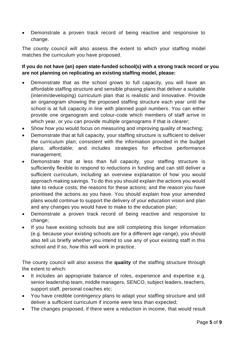• Demonstrate a proven track record of being reactive and responsive to change.

The county council will also assess the extent to which your staffing model matches the curriculum you have proposed.

# **If you do not have (an) open state-funded school(s) with a strong track record or you are not planning on replicating an existing staffing model, please:**

- Demonstrate that as the school grows to full capacity, you will have an affordable staffing structure and sensible phasing plans that deliver a suitable (interim/developing) curriculum plan that is realistic and innovative. Provide an organogram showing the proposed staffing structure each year until the school is at full capacity in line with planned pupil numbers. You can either provide one organogram and colour-code which members of staff arrive in which year, or you can provide multiple organograms if that is clearer;
- Show how you would focus on measuring and improving quality of teaching:
- Demonstrate that at full capacity, your staffing structure is sufficient to deliver the curriculum plan; consistent with the information provided in the budget plans; affordable; and includes strategies for effective performance management;
- Demonstrate that at less than full capacity, your staffing structure is sufficiently flexible to respond to reductions in funding and can still deliver a sufficient curriculum, including an overview explanation of how you would approach making savings. To do this you should explain the actions you would take to reduce costs; the reasons for these actions; and the reason you have prioritised the actions as you have. You should explain how your amended plans would continue to support the delivery of your education vision and plan and any changes you would have to make to the education plan;
- Demonstrate a proven track record of being reactive and responsive to change;
- If you have existing schools but are still completing this longer information (e.g. because your existing schools are for a different age-range), you should also tell us briefly whether you intend to use any of your existing staff in this school and if so, how this will work in practice.

The county council will also assess the **quality** of the staffing structure through the extent to which:

- It includes an appropriate balance of roles, experience and expertise e.g. senior leadership team, middle managers, SENCO, subject leaders, teachers, support staff, personal coaches etc;
- You have credible contingency plans to adapt your staffing structure and still deliver a sufficient curriculum if income were less than expected;
- The changes proposed, if there were a reduction in income, that would result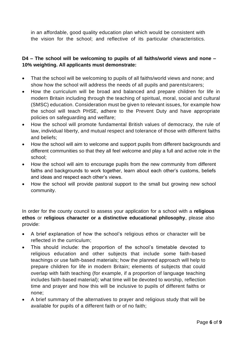in an affordable, good quality education plan which would be consistent with the vision for the school; and reflective of its particular characteristics.

# **D4 – The school will be welcoming to pupils of all faiths/world views and none – 10% weighting. All applicants must demonstrate:**

- That the school will be welcoming to pupils of all faiths/world views and none; and show how the school will address the needs of all pupils and parents/carers;
- How the curriculum will be broad and balanced and prepare children for life in modern Britain including through the teaching of spiritual, moral, social and cultural (SMSC) education. Consideration must be given to relevant issues, for example how the school will teach PHSE, adhere to the Prevent Duty and have appropriate policies on safeguarding and welfare;
- How the school will promote fundamental British values of democracy, the rule of law, individual liberty, and mutual respect and tolerance of those with different faiths and beliefs;
- How the school will aim to welcome and support pupils from different backgrounds and different communities so that they all feel welcome and play a full and active role in the school;
- How the school will aim to encourage pupils from the new community from different faiths and backgrounds to work together, learn about each other's customs, beliefs and ideas and respect each other's views.
- How the school will provide pastoral support to the small but growing new school community.

In order for the county council to assess your application for a school with a **religious ethos** or **religious character or a distinctive educational philosophy**, please also provide:

- A brief explanation of how the school's religious ethos or character will be reflected in the curriculum;
- This should include: the proportion of the school's timetable devoted to religious education and other subjects that include some faith-based teachings or use faith-based materials; how the planned approach will help to prepare children for life in modern Britain; elements of subjects that could overlap with faith teaching (for example, if a proportion of language teaching includes faith-based material); what time will be devoted to worship, reflection time and prayer and how this will be inclusive to pupils of different faiths or none;
- A brief summary of the alternatives to prayer and religious study that will be available for pupils of a different faith or of no faith;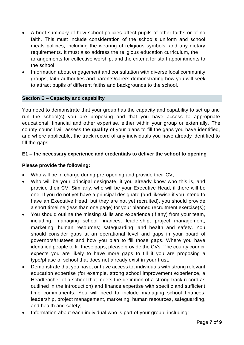- A brief summary of how school policies affect pupils of other faiths or of no faith. This must include consideration of the school's uniform and school meals policies, including the wearing of religious symbols; and any dietary requirements. It must also address the religious education curriculum, the arrangements for collective worship, and the criteria for staff appointments to the school;
- Information about engagement and consultation with diverse local community groups, faith authorities and parents/carers demonstrating how you will seek to attract pupils of different faiths and backgrounds to the school.

## **Section E – Capacity and capability**

You need to demonstrate that your group has the capacity and capability to set up and run the school(s) you are proposing and that you have access to appropriate educational, financial and other expertise, either within your group or externally. The county council will assess the **quality** of your plans to fill the gaps you have identified, and where applicable, the track record of any individuals you have already identified to fill the gaps.

#### **E1 – the necessary experience and credentials to deliver the school to opening**

#### **Please provide the following:**

- Who will be in charge during pre-opening and provide their CV;
- Who will be your principal designate, if you already know who this is, and provide their CV. Similarly, who will be your Executive Head, if there will be one. If you do not yet have a principal designate (and likewise if you intend to have an Executive Head, but they are not yet recruited), you should provide a short timeline (less than one page) for your planned recruitment exercise(s);
- You should outline the missing skills and experience (if any) from your team, including: managing school finances; leadership; project management; marketing; human resources; safeguarding; and health and safety. You should consider gaps at an operational level and gaps in your board of governors/trustees and how you plan to fill those gaps. Where you have identified people to fill these gaps, please provide the CVs. The county council expects you are likely to have more gaps to fill if you are proposing a type/phase of school that does not already exist in your trust.
- Demonstrate that you have, or have access to, individuals with strong relevant education expertise (for example, strong school improvement experience, a Headteacher of a school that meets the definition of a strong track record as outlined in the introduction) and finance expertise with specific and sufficient time commitments. You will need to include managing school finances, leadership, project management, marketing, human resources, safeguarding, and health and safety;
- Information about each individual who is part of your group, including: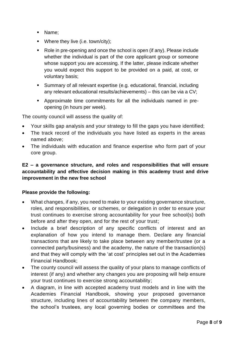- Name;
- Where they live (i.e. town/city);
- Role in pre-opening and once the school is open (if any). Please include whether the individual is part of the core applicant group or someone whose support you are accessing. If the latter, please indicate whether you would expect this support to be provided on a paid, at cost, or voluntary basis;
- Summary of all relevant expertise (e.g. educational, financial, including any relevant educational results/achievements) – this can be via a CV;
- Approximate time commitments for all the individuals named in preopening (in hours per week).

The county council will assess the quality of:

- Your skills gap analysis and your strategy to fill the gaps you have identified;
- The track record of the individuals you have listed as experts in the areas named above;
- The individuals with education and finance expertise who form part of your core group.

## **E2 – a governance structure, and roles and responsibilities that will ensure accountability and effective decision making in this academy trust and drive improvement in the new free school**

#### **Please provide the following:**

- What changes, if any, you need to make to your existing governance structure, roles, and responsibilities, or schemes, or delegation in order to ensure your trust continues to exercise strong accountability for your free school(s) both before and after they open, and for the rest of your trust;
- Include a brief description of any specific conflicts of interest and an explanation of how you intend to manage them. Declare any financial transactions that are likely to take place between any member/trustee (or a connected party/business) and the academy, the nature of the transaction(s) and that they will comply with the 'at cost' principles set out in the Academies Financial Handbook;
- The county council will assess the quality of your plans to manage conflicts of interest (if any) and whether any changes you are proposing will help ensure your trust continues to exercise strong accountability;
- A diagram, in line with accepted academy trust models and in line with the Academies Financial Handbook, showing your proposed governance structure, including lines of accountability between the company members, the school's trustees, any local governing bodies or committees and the